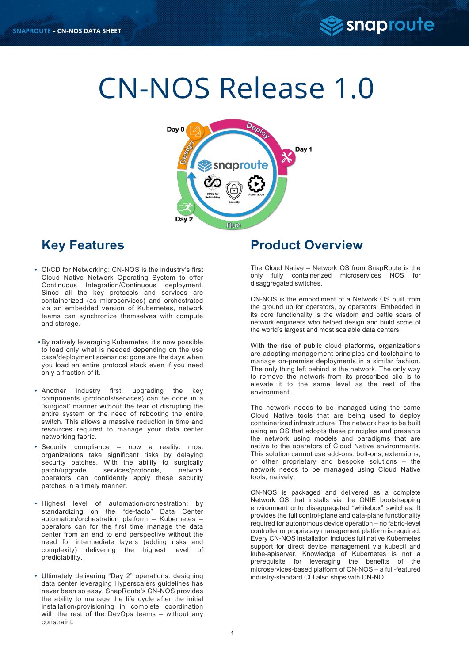

# CN-NOS Release 1.0



# **Key Features**

- CI/CD for Networking: CN-NOS is the industry's first Cloud Native Network Operating System to offer Continuous Integration/Continuous deployment. Since all the key protocols and services are containerized (as microservices) and orchestrated via an embedded version of Kubernetes, network teams can synchronize themselves with compute and storage.
- •By natively leveraging Kubernetes, it's now possible to load only what is needed depending on the use case/deployment scenarios: gone are the days when you load an entire protocol stack even if you need only a fraction of it.
- Another Industry first: upgrading the key components (protocols/services) can be done in a "surgical" manner without the fear of disrupting the entire system or the need of rebooting the entire switch. This allows a massive reduction in time and resources required to manage your data center networking fabric.
- Security compliance now a reality: most organizations take significant risks by delaying security patches. With the ability to surgically patch/upgrade services/protocols, network operators can confidently apply these security patches in a timely manner.
- Highest level of automation/orchestration: by standardizing on the "de-facto" Data Center automation/orchestration platform – Kubernetes – operators can for the first time manage the data center from an end to end perspective without the need for intermediate layers (adding risks and complexity) delivering the highest level of predictability.
- Ultimately delivering "Day 2" operations: designing data center leveraging Hyperscalers guidelines has never been so easy. SnapRoute's CN-NOS provides the ability to manage the life cycle after the initial installation/provisioning in complete coordination with the rest of the DevOps teams – without any constraint.

#### **Product Overview**

The Cloud Native – Network OS from SnapRoute is the only fully containerized microservices NOS for disaggregated switches.

CN-NOS is the embodiment of a Network OS built from the ground up for operators, by operators. Embedded in its core functionality is the wisdom and battle scars of network engineers who helped design and build some of the world's largest and most scalable data centers.

With the rise of public cloud platforms, organizations are adopting management principles and toolchains to manage on-premise deployments in a similar fashion. The only thing left behind is the network. The only way to remove the network from its prescribed silo is to elevate it to the same level as the rest of the environment.

The network needs to be managed using the same Cloud Native tools that are being used to deploy containerized infrastructure. The network has to be built using an OS that adopts these principles and presents the network using models and paradigms that are native to the operators of Cloud Native environments. This solution cannot use add-ons, bolt-ons, extensions, or other proprietary and bespoke solutions – the network needs to be managed using Cloud Native tools, natively.

CN-NOS is packaged and delivered as a complete Network OS that installs via the ONIE bootstrapping environment onto disaggregated "whitebox" switches. It provides the full control-plane and data-plane functionality required for autonomous device operation – no fabric-level controller or proprietary management platform is required. Every CN-NOS installation includes full native Kubernetes support for direct device management via kubectl and kube-apiserver. Knowledge of Kubernetes is not a prerequisite for leveraging the benefits of the microservices-based platform of CN-NOS – a full-featured industry-standard CLI also ships with CN-NO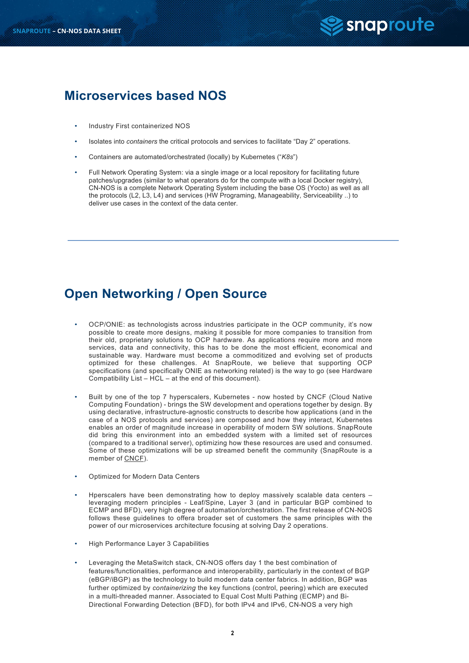

#### **Microservices based NOS**

- Industry First containerized NOS
- Isolates into *containers* the critical protocols and services to facilitate "Day 2" operations.
- Containers are automated/orchestrated (locally) by Kubernetes ("*K8s*")
- Full Network Operating System: via a single image or a local repository for facilitating future patches/upgrades (similar to what operators do for the compute with a local Docker registry), CN-NOS is a complete Network Operating System including the base OS (Yocto) as well as all the protocols (L2, L3, L4) and services (HW Programing, Manageability, Serviceability ..) to deliver use cases in the context of the data center.

### **Open Networking / Open Source**

- OCP/ONIE: as technologists across industries participate in the OCP community, it's now possible to create more designs, making it possible for more companies to transition from their old, proprietary solutions to OCP hardware. As applications require more and more services, data and connectivity, this has to be done the most efficient, economical and sustainable way. Hardware must become a commoditized and evolving set of products optimized for these challenges. At SnapRoute, we believe that supporting OCP specifications (and specifically ONIE as networking related) is the way to go (see Hardware Compatibility List – HCL – at the end of this document).
- Built by one of the top 7 hyperscalers, Kubernetes now hosted by CNCF (Cloud Native Computing Foundation) - brings the SW development and operations together by design. By using declarative, infrastructure-agnostic constructs to describe how applications (and in the case of a NOS protocols and services) are composed and how they interact, Kubernetes enables an order of magnitude increase in operability of modern SW solutions. SnapRoute did bring this environment into an embedded system with a limited set of resources (compared to a traditional server), optimizing how these resources are used and consumed. Some of these optimizations will be up streamed benefit the community (SnapRoute is a member of CNCF).
- Optimized for Modern Data Centers
- Hperscalers have been demonstrating how to deploy massively scalable data centers leveraging modern principles - Leaf/Spine, Layer 3 (and in particular BGP combined to ECMP and BFD), very high degree of automation/orchestration. The first release of CN-NOS follows these guidelines to offera broader set of customers the same principles with the power of our microservices architecture focusing at solving Day 2 operations.
- High Performance Layer 3 Capabilities
- Leveraging the MetaSwitch stack, CN-NOS offers day 1 the best combination of features/functionalities, performance and interoperability, particularly in the context of BGP (eBGP/iBGP) as the technology to build modern data center fabrics. In addition, BGP was further optimized by *containerizing* the key functions (control, peering) which are executed in a multi-threaded manner. Associated to Equal Cost Multi Pathing (ECMP) and Bi-Directional Forwarding Detection (BFD), for both IPv4 and IPv6, CN-NOS a very high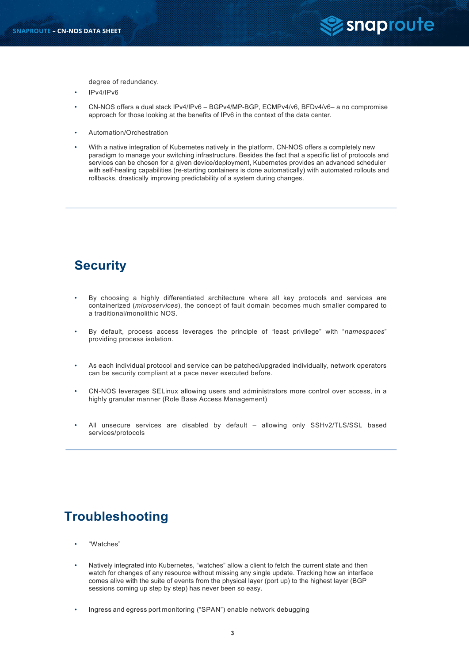

degree of redundancy.

- IPv4/IPv6
- CN-NOS offers a dual stack IPv4/IPv6 BGPv4/MP-BGP, ECMPv4/v6, BFDv4/v6– a no compromise approach for those looking at the benefits of IPv6 in the context of the data center.
- Automation/Orchestration
- With a native integration of Kubernetes natively in the platform, CN-NOS offers a completely new paradigm to manage your switching infrastructure. Besides the fact that a specific list of protocols and services can be chosen for a given device/deployment, Kubernetes provides an advanced scheduler with self-healing capabilities (re-starting containers is done automatically) with automated rollouts and rollbacks, drastically improving predictability of a system during changes.

## **Security**

- By choosing a highly differentiated architecture where all key protocols and services are containerized (*microservices*), the concept of fault domain becomes much smaller compared to a traditional/monolithic NOS.
- By default, process access leverages the principle of "least privilege" with "*namespaces*" providing process isolation.
- As each individual protocol and service can be patched/upgraded individually, network operators can be security compliant at a pace never executed before.
- CN-NOS leverages SELinux allowing users and administrators more control over access, in a highly granular manner (Role Base Access Management)
- All unsecure services are disabled by default allowing only SSHv2/TLS/SSL based services/protocols

## **Troubleshooting**

- "Watches"
- Natively integrated into Kubernetes, "watches" allow a client to fetch the current state and then watch for changes of any resource without missing any single update. Tracking how an interface comes alive with the suite of events from the physical layer (port up) to the highest layer (BGP sessions coming up step by step) has never been so easy.
- Ingress and egress port monitoring ("SPAN") enable network debugging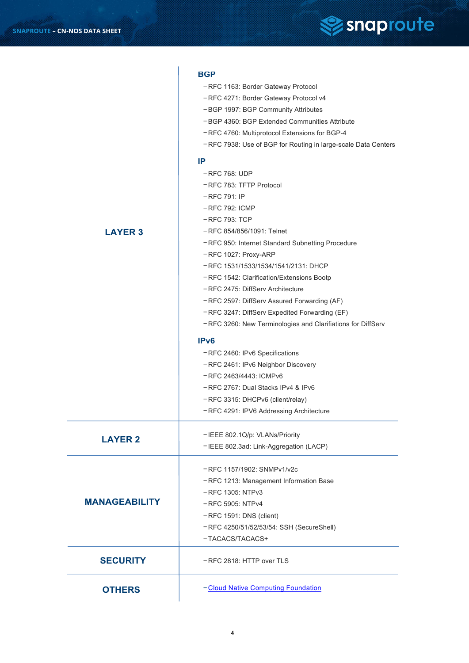

#### **BGP** – RFC 1163: Border Gateway Protocol – RFC 4271: Border Gateway Protocol v4 – BGP 1997: BGP Community Attributes – BGP 4360: BGP Extended Communities Attribute – RFC 4760: Multiprotocol Extensions for BGP-4 – RFC 7938: Use of BGP for Routing in large-scale Data Centers **IP** – RFC 768: UDP – RFC 783: TFTP Protocol – RFC 791: IP – RFC 792: ICMP – RFC 793: TCP – RFC 854/856/1091: Telnet – RFC 950: Internet Standard Subnetting Procedure – RFC 1027: Proxy-ARP – RFC 1531/1533/1534/1541/2131: DHCP – RFC 1542: Clarification/Extensions Bootp – RFC 2475: DiffServ Architecture – RFC 2597: DiffServ Assured Forwarding (AF) – RFC 3247: DiffServ Expedited Forwarding (EF) – RFC 3260: New Terminologies and Clarifiations for DiffServ **IPv6** – RFC 2460: IPv6 Specifications – RFC 2461: IPv6 Neighbor Discovery – RFC 2463/4443: ICMPv6 – RFC 2767: Dual Stacks IPv4 & IPv6 – RFC 3315: DHCPv6 (client/relay) – RFC 4291: IPV6 Addressing Architecture – IEEE 802.1Q/p: VLANs/Priority – IEEE 802.3ad: Link-Aggregation (LACP) – RFC 1157/1902: SNMPv1/v2c – RFC 1213: Management Information Base – RFC 1305: NTPv3 – RFC 5905: NTPv4 – RFC 1591: DNS (client) – RFC 4250/51/52/53/54: SSH (SecureShell) – TACACS/TACACS+ – RFC 2818: HTTP over TLS **LAYER 2 MANAGEABILITY LAYER 3 SECURITY**

**OTHERS**

#### – Cloud Native Computing Foundation